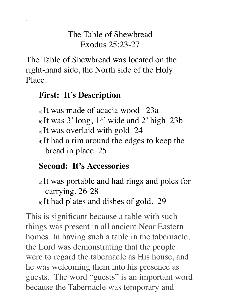## The Table of Shewbread Exodus 25:23-27

The Table of Shewbread was located on the right-hand side, the North side of the Holy Place.

### **First: It's Description**

- a) It was made of acacia wood 23a
- b) It was 3' long, 1½' wide and 2' high 23b
- c) It was overlaid with gold 24
- d) It had a rim around the edges to keep the bread in place 25

## **Second: It's Accessories**

- a) It was portable and had rings and poles for carrying. 26-28
- b) It had plates and dishes of gold. 29

This is significant because a table with such things was present in all ancient Near Eastern homes. In having such a table in the tabernacle, the Lord was demonstrating that the people were to regard the tabernacle as His house, and he was welcoming them into his presence as guests. The word "guests" is an important word because the Tabernacle was temporary and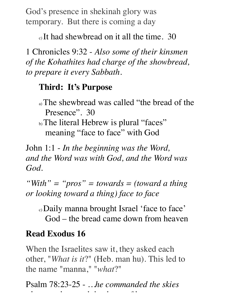God's presence in shekinah glory was temporary. But there is coming a day

c) It had shewbread on it all the time. 30

1 Chronicles 9:32 - *Also some of their kinsmen of the Kohathites had charge of the showbread, to prepare it every Sabbath.*

#### **Third: It's Purpose**

- a) The shewbread was called "the bread of the Presence". 30
- b) The literal Hebrew is plural "faces" meaning "face to face" with God

John 1:1 - *In the beginning was the Word, and the Word was with God, and the Word was God.*

*"With" = "pros" = towards = (toward a thing or looking toward a thing) face to face*

c) Daily manna brought Israel 'face to face' God – the bread came down from heaven

# **Read Exodus 16**

When the Israelites saw it, they asked each other, "*What is it*?" (Heb. man hu). This led to the name "manna," "*what*?"

Psalm 78:23-25 - *…he commanded the skies above and opened the doors of heaven,*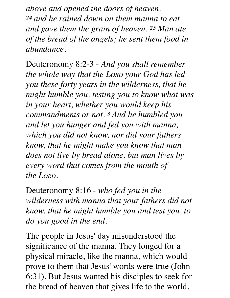*above and opened the doors of heaven, 24 and he rained down on them manna to eat and gave them the grain of heaven. 25 Man ate of the bread of the angels; he sent them food in abundance.*

Deuteronomy 8:2-3 - *And you shall remember the whole way that the LORD your God has led you these forty years in the wilderness, that he might humble you, testing you to know what was in your heart, whether you would keep his commandments or not. 3 And he humbled you and let you hunger and fed you with manna, which you did not know, nor did your fathers know, that he might make you know that man does not live by bread alone, but man lives by every word that comes from the mouth of the LORD.* 

Deuteronomy 8:16 - *who fed you in the wilderness with manna that your fathers did not know, that he might humble you and test you, to do you good in the end.*

The people in Jesus' day misunderstood the significance of the manna. They longed for a physical miracle, like the manna, which would prove to them that Jesus' words were true (John 6:31). But Jesus wanted his disciples to seek for the bread of heaven that gives life to the world,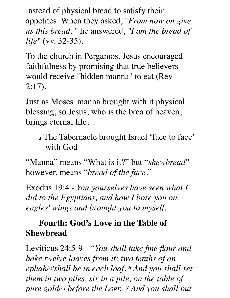instead of physical bread to satisfy their appetites. When they asked, "*From now on give us this bread,* " he answered, *"I am the bread of life"* (vv. 32-35).

To the church in Pergamos, Jesus encouraged faithfulness by promising that true believers would receive "hidden manna" to eat (Rev 2:17).

Just as Moses' manna brought with it physical blessing, so Jesus, who is the brea of heaven, brings eternal life.

d) The Tabernacle brought Israel 'face to face' with God

"Manna" means "What is it?" but "*shewbread*" however, means "*bread of the face*."

Exodus 19:4 - *You yourselves have seen what I did to the Egyptians, and how I bore you on eagles' wings and brought you to myself.*

# **Fourth: God's Love in the Table of Shewbread**

Leviticus 24:5-9 - *"You shall take fine flour and bake twelve loaves from it; two tenths of an ephah[b]shall be in each loaf. 6 And you shall set them in two piles, six in a pile, on the table of pure gold[c] before the LORD. 7 And you shall put*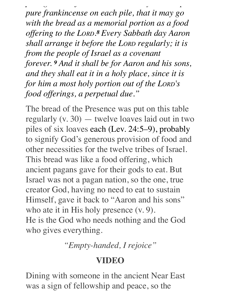*pure gold[c] before the LORD. 7 And you shall put pure frankincense on each pile, that it may go with the bread as a memorial portion as a food offering to the LORD.8 Every Sabbath day Aaron shall arrange it before the LORD regularly; it is from the people of Israel as a covenant forever. 9 And it shall be for Aaron and his sons, and they shall eat it in a holy place, since it is for him a most holy portion out of the LORD's food offerings, a perpetual due."*

The bread of the Presence was put on this table regularly (v. 30) — twelve loaves laid out in two piles of six loaves each (Lev. 24:5–9), probably to signify God's generous provision of food and other necessities for the twelve tribes of Israel. This bread was like a food offering, which ancient pagans gave for their gods to eat. But Israel was not a pagan nation, so the one, true creator God, having no need to eat to sustain Himself, gave it back to "Aaron and his sons" who ate it in His holy presence (v. 9). He is the God who needs nothing and the God who gives everything.

*"Empty-handed, I rejoice"*

### **VIDEO**

Dining with someone in the ancient Near East was a sign of fellowship and peace, so the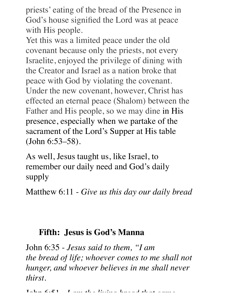priests' eating of the bread of the Presence in God's house signified the Lord was at peace with His people.

Yet this was a limited peace under the old covenant because only the priests, not every Israelite, enjoyed the privilege of dining with the Creator and Israel as a nation broke that peace with God by violating the covenant. Under the new covenant, however, Christ has effected an eternal peace (Shalom) between the Father and His people, so we may dine in His presence, especially when we partake of the sacrament of the Lord's Supper at His table (John 6:53–58).

As well, Jesus taught us, like Israel, to remember our daily need and God's daily supply

Matthew 6:11 - *Give us this day our daily bread*

### **Fifth: Jesus is God's Manna**

John 6:35 - *Jesus said to them, "I am the bread of life; whoever comes to me shall not hunger, and whoever believes in me shall never thirst.*

John 6:51 - *I am the living bread that came*